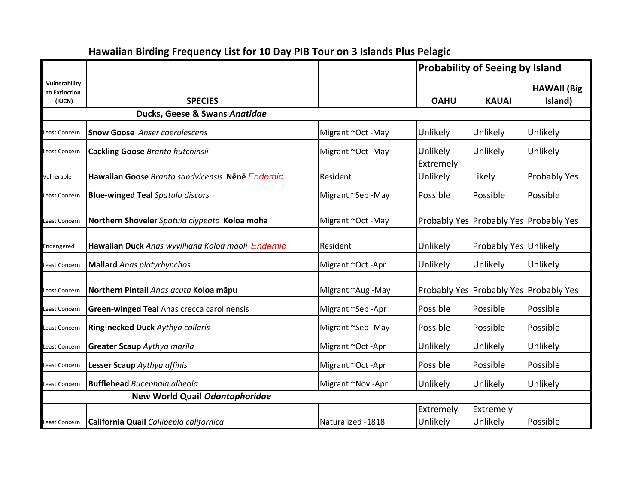|                                          |                                                   |                   | <b>Probability of Seeing by Island</b> |                       |                                            |
|------------------------------------------|---------------------------------------------------|-------------------|----------------------------------------|-----------------------|--------------------------------------------|
| Vulnerability<br>to Extinction<br>(IUCN) | <b>SPECIES</b>                                    |                   | <b>OAHU</b>                            | <b>KAUAI</b>          | <b>HAWAII</b> (Big<br>Island)              |
|                                          | Ducks, Geese & Swans Anatidae                     |                   |                                        |                       |                                            |
| Least Concern                            | <b>Snow Goose</b> Anser caerulescens              | Migrant ~Oct -May | Unlikely                               | Unlikely              | Unlikely                                   |
| Least Concern                            | <b>Cackling Goose Branta hutchinsii</b>           | Migrant ~Oct -May | Unlikely                               | Unlikely              | Unlikely                                   |
| Vulnerable                               | Hawaiian Goose Branta sandvicensis Nēnē Endemic   | Resident          | Extremely<br>Unlikely                  | Likely                | Probably Yes                               |
| Least Concern                            | <b>Blue-winged Teal Spatula discors</b>           | Migrant ~Sep-May  | Possible                               | Possible              | Possible                                   |
| Least Concern                            | Northern Shoveler Spatula clypeata Koloa moha     | Migrant ~Oct -May |                                        |                       | Probably Yes   Probably Yes   Probably Yes |
| Endangered                               | Hawaiian Duck Anas wyvilliana Koloa maoli Endemic | Resident          | Unlikely                               | Probably Yes Unlikely |                                            |
| Least Concern                            | <b>Mallard</b> Anas platyrhynchos                 | Migrant ~Oct -Apr | Unlikely                               | Unlikely              | Unlikely                                   |
| Least Concern                            | Northern Pintail Anas acuta Koloa māpu            | Migrant ~Aug -May |                                        |                       | Probably Yes   Probably Yes   Probably Yes |
| Least Concern                            | <b>Green-winged Teal Anas crecca carolinensis</b> | Migrant ~Sep-Apr  | Possible                               | Possible              | Possible                                   |
| Least Concern                            | Ring-necked Duck Aythya collaris                  | Migrant ~Sep -May | Possible                               | Possible              | Possible                                   |
| Least Concern                            | <b>Greater Scaup</b> Aythya marila                | Migrant ~Oct -Apr | Unlikely                               | Unlikely              | Unlikely                                   |
| Least Concern                            | Lesser Scaup Aythya affinis                       | Migrant ~Oct -Apr | Possible                               | Possible              | Possible                                   |
| Least Concern                            | <b>Bufflehead</b> Bucephala albeola               | Migrant ~Nov -Apr | Unlikely                               | Unlikely              | Unlikely                                   |
|                                          | New World Quail Odontophoridae                    |                   |                                        |                       |                                            |
| Least Concern                            | California Quail Callipepla californica           | Naturalized -1818 | Extremely<br>Unlikely                  | Extremely<br>Unlikely | Possible                                   |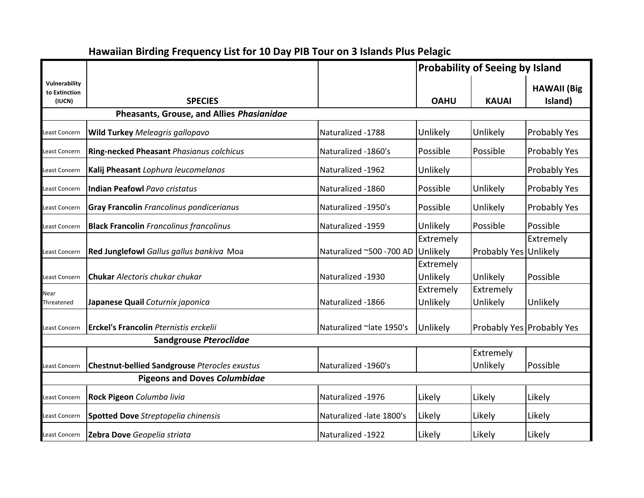|                                          |                                                      |                                   | <b>Probability of Seeing by Island</b> |                       |                               |
|------------------------------------------|------------------------------------------------------|-----------------------------------|----------------------------------------|-----------------------|-------------------------------|
| Vulnerability<br>to Extinction<br>(IUCN) | <b>SPECIES</b>                                       |                                   | <b>OAHU</b>                            | <b>KAUAI</b>          | <b>HAWAII</b> (Big<br>Island) |
|                                          | Pheasants, Grouse, and Allies Phasianidae            |                                   |                                        |                       |                               |
| <b>Least Concern</b>                     | <b>Wild Turkey</b> Meleagris gallopavo               | Naturalized -1788                 | Unlikely                               | Unlikely              | Probably Yes                  |
| Least Concern                            | Ring-necked Pheasant Phasianus colchicus             | Naturalized -1860's               | Possible                               | Possible              | Probably Yes                  |
| east Concern                             | Kalij Pheasant Lophura leucomelanos                  | Naturalized -1962                 | Unlikely                               |                       | Probably Yes                  |
| Least Concern                            | <b>Indian Peafowl Pavo cristatus</b>                 | Naturalized -1860                 | Possible                               | Unlikely              | Probably Yes                  |
| Least Concern                            | <b>Gray Francolin</b> Francolinus pondicerianus      | Naturalized -1950's               | Possible                               | Unlikely              | Probably Yes                  |
| Least Concern                            | <b>Black Francolin</b> Francolinus francolinus       | Naturalized -1959                 | Unlikely                               | Possible              | Possible                      |
| Least Concern                            | Red Junglefowl Gallus gallus bankiva Moa             | Naturalized ~500 -700 AD Unlikely | Extremely                              | Probably Yes Unlikely | Extremely                     |
| Least Concern                            | <b>Chukar</b> Alectoris chukar chukar                | Naturalized -1930                 | Extremely<br>Unlikely                  | Unlikely              | Possible                      |
| Near<br>Threatened                       | Japanese Quail Coturnix japonica                     | Naturalized -1866                 | Extremely<br>Unlikely                  | Extremely<br>Unlikely | Unlikely                      |
| Least Concern                            | <b>Erckel's Francolin Pternistis erckelii</b>        | Naturalized ~late 1950's          | Unlikely                               |                       | Probably Yes Probably Yes     |
|                                          | Sandgrouse Pteroclidae                               |                                   |                                        |                       |                               |
| Least Concern                            | <b>Chestnut-bellied Sandgrouse Pterocles exustus</b> | Naturalized -1960's               |                                        | Extremely<br>Unlikely | Possible                      |
|                                          | <b>Pigeons and Doves Columbidae</b>                  |                                   |                                        |                       |                               |
| Least Concern                            | Rock Pigeon Columba livia                            | Naturalized -1976                 | Likely                                 | Likely                | Likely                        |
| <b>Least Concern</b>                     | <b>Spotted Dove</b> Streptopelia chinensis           | Naturalized -late 1800's          | Likely                                 | Likely                | Likely                        |
| Least Concern                            | Zebra Dove Geopelia striata                          | Naturalized -1922                 | Likely                                 | Likely                | Likely                        |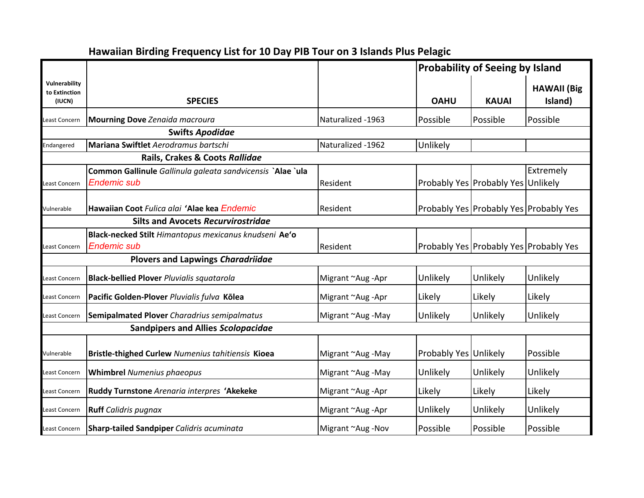|                                          |                                                                                  |                   | <b>Probability of Seeing by Island</b>     |              |                               |  |
|------------------------------------------|----------------------------------------------------------------------------------|-------------------|--------------------------------------------|--------------|-------------------------------|--|
| Vulnerability<br>to Extinction<br>(IUCN) | <b>SPECIES</b>                                                                   |                   | <b>OAHU</b>                                | <b>KAUAI</b> | <b>HAWAII</b> (Big<br>Island) |  |
| east Concern                             | <b>Mourning Dove Zenaida macroura</b>                                            | Naturalized -1963 | Possible                                   | Possible     | Possible                      |  |
|                                          | <b>Swifts Apodidae</b>                                                           |                   |                                            |              |                               |  |
| Endangered                               | Mariana Swiftlet Aerodramus bartschi                                             | Naturalized -1962 | Unlikely                                   |              |                               |  |
|                                          | Rails, Crakes & Coots Rallidae                                                   |                   |                                            |              |                               |  |
| east Concern                             | Common Gallinule Gallinula galeata sandvicensis `Alae `ula<br><b>Endemic sub</b> | Resident          | Probably Yes Probably Yes Unlikely         |              | Extremely                     |  |
| Vulnerable                               | Hawaiian Coot Fulica alai 'Alae kea Endemic                                      | Resident          | Probably Yes Probably Yes Probably Yes     |              |                               |  |
|                                          | <b>Silts and Avocets Recurvirostridae</b>                                        |                   |                                            |              |                               |  |
| Least Concern                            | Black-necked Stilt Himantopus mexicanus knudseni Ae'o<br><b>Endemic sub</b>      | <b>Resident</b>   | Probably Yes   Probably Yes   Probably Yes |              |                               |  |
|                                          | <b>Plovers and Lapwings Charadriidae</b>                                         |                   |                                            |              |                               |  |
| Least Concern                            | <b>Black-bellied Plover Pluvialis squatarola</b>                                 | Migrant ~Aug -Apr | Unlikely                                   | Unlikely     | Unlikely                      |  |
| Least Concern                            | Pacific Golden-Plover Pluvialis fulva Kōlea                                      | Migrant ~Aug -Apr | Likely                                     | Likely       | Likely                        |  |
| east Concern                             | Semipalmated Plover Charadrius semipalmatus                                      | Migrant ~Aug -May | Unlikely                                   | Unlikely     | Unlikely                      |  |
|                                          | <b>Sandpipers and Allies Scolopacidae</b>                                        |                   |                                            |              |                               |  |
| Vulnerable                               | Bristle-thighed Curlew Numenius tahitiensis Kioea                                | Migrant ~Aug -May | Probably Yes Unlikely                      |              | Possible                      |  |
| Least Concern                            | <b>Whimbrel Numenius phaeopus</b>                                                | Migrant ~Aug -May | Unlikely                                   | Unlikely     | Unlikely                      |  |
| Least Concern                            | Ruddy Turnstone Arenaria interpres 'Akekeke                                      | Migrant ~Aug -Apr | Likely                                     | Likely       | Likely                        |  |
| Least Concern                            | <b>Ruff</b> Calidris pugnax                                                      | Migrant ~Aug -Apr | Unlikely                                   | Unlikely     | Unlikely                      |  |
| Least Concern                            | <b>Sharp-tailed Sandpiper Calidris acuminata</b>                                 | Migrant ~Aug -Nov | Possible                                   | Possible     | Possible                      |  |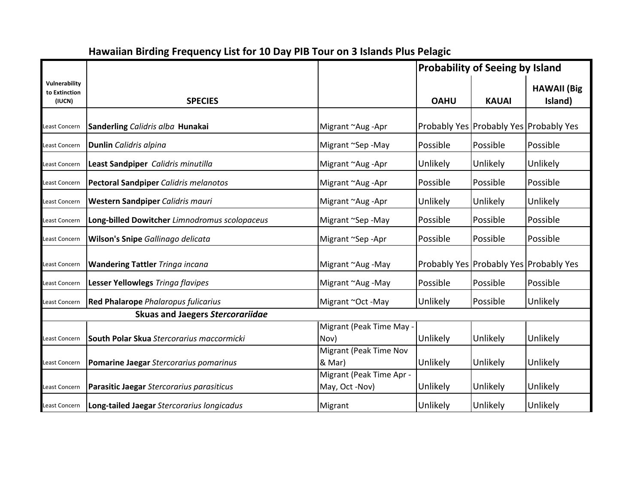|                                          |                                               |                                            | <b>Probability of Seeing by Island</b> |              |                                        |
|------------------------------------------|-----------------------------------------------|--------------------------------------------|----------------------------------------|--------------|----------------------------------------|
| Vulnerability<br>to Extinction<br>(IUCN) | <b>SPECIES</b>                                |                                            | <b>OAHU</b>                            | <b>KAUAI</b> | <b>HAWAII</b> (Big<br>Island)          |
| Least Concern                            | Sanderling Calidris alba Hunakai              | Migrant ~Aug -Apr                          |                                        |              | Probably Yes Probably Yes Probably Yes |
| Least Concern                            | <b>Dunlin</b> Calidris alpina                 | Migrant ~Sep -May                          | Possible                               | Possible     | Possible                               |
| Least Concern                            | Least Sandpiper Calidris minutilla            | Migrant ~Aug -Apr                          | Unlikely                               | Unlikely     | Unlikely                               |
| Least Concern                            | <b>Pectoral Sandpiper Calidris melanotos</b>  | Migrant ~Aug -Apr                          | Possible                               | Possible     | Possible                               |
| Least Concern                            | Western Sandpiper Calidris mauri              | Migrant ~Aug -Apr                          | Unlikely                               | Unlikely     | Unlikely                               |
| Least Concern                            | Long-billed Dowitcher Limnodromus scolopaceus | Migrant ~Sep -May                          | Possible                               | Possible     | Possible                               |
| Least Concern                            | Wilson's Snipe Gallinago delicata             | Migrant ~Sep-Apr                           | Possible                               | Possible     | Possible                               |
| Least Concern                            | <b>Wandering Tattler Tringa incana</b>        | Migrant ~Aug -May                          |                                        |              | Probably Yes Probably Yes Probably Yes |
| Least Concern                            | Lesser Yellowlegs Tringa flavipes             | Migrant ~Aug -May                          | Possible                               | Possible     | Possible                               |
| Least Concern                            | <b>Red Phalarope</b> Phalaropus fulicarius    | Migrant ~Oct -May                          | Unlikely                               | Possible     | Unlikely                               |
|                                          | <b>Skuas and Jaegers Stercorariidae</b>       |                                            |                                        |              |                                        |
| Least Concern                            | South Polar Skua Stercorarius maccormicki     | Migrant (Peak Time May -<br>Nov)           | Unlikely                               | Unlikely     | Unlikely                               |
| Least Concern                            | Pomarine Jaegar Stercorarius pomarinus        | <b>Migrant (Peak Time Nov</b><br>& Mar)    | Unlikely                               | Unlikely     | Unlikely                               |
| Least Concern                            | Parasitic Jaegar Stercorarius parasiticus     | Migrant (Peak Time Apr -<br>May, Oct -Nov) | Unlikely                               | Unlikely     | Unlikely                               |
| Least Concern                            | Long-tailed Jaegar Stercorarius longicadus    | Migrant                                    | Unlikely                               | Unlikely     | Unlikely                               |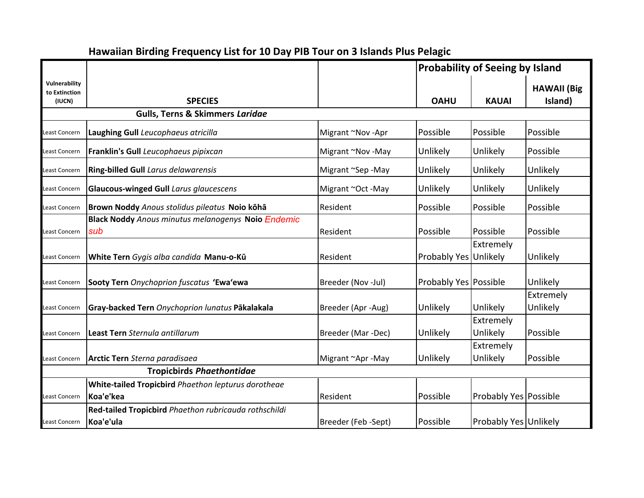|                                          |                                                                         |                     | <b>Probability of Seeing by Island</b> |                              |                               |
|------------------------------------------|-------------------------------------------------------------------------|---------------------|----------------------------------------|------------------------------|-------------------------------|
| Vulnerability<br>to Extinction<br>(IUCN) | <b>SPECIES</b>                                                          |                     | <b>OAHU</b>                            | <b>KAUAI</b>                 | <b>HAWAII (Big</b><br>Island) |
|                                          | <b>Gulls, Terns &amp; Skimmers Laridae</b>                              |                     |                                        |                              |                               |
| Least Concern                            | Laughing Gull Leucophaeus atricilla                                     | Migrant ~Nov -Apr   | Possible                               | Possible                     | Possible                      |
| Least Concern                            | Franklin's Gull Leucophaeus pipixcan                                    | Migrant ~Nov -May   | Unlikely                               | Unlikely                     | Possible                      |
| Least Concern                            | <b>Ring-billed Gull Larus delawarensis</b>                              | Migrant ~Sep -May   | Unlikely                               | Unlikely                     | Unlikely                      |
| Least Concern                            | Glaucous-winged Gull Larus glaucescens                                  | Migrant ~Oct -May   | Unlikely                               | Unlikely                     | Unlikely                      |
| Least Concern                            | Brown Noddy Anous stolidus pileatus Noio kōhā                           | Resident            | Possible                               | Possible                     | Possible                      |
| Least Concern                            | <b>Black Noddy</b> Anous minutus melanogenys Noio Endemic<br>sub        | Resident            | Possible                               | Possible                     | Possible                      |
| Least Concern                            | White Tern Gygis alba candida Manu-o-Kū                                 | Resident            | Probably Yes Unlikely                  | Extremely                    | Unlikely                      |
| Least Concern                            | Sooty Tern Onychoprion fuscatus 'Ewa'ewa                                | Breeder (Nov -Jul)  | <b>Probably Yes Possible</b>           |                              | Unlikely                      |
| Least Concern                            | Gray-backed Tern Onychoprion lunatus Pākalakala                         | Breeder (Apr -Aug)  | Unlikely                               | Unlikely                     | Extremely<br>Unlikely         |
| Least Concern                            | Least Tern Sternula antillarum                                          | Breeder (Mar -Dec)  | Unlikely                               | Extremely<br>Unlikely        | Possible                      |
| Least Concern                            | Arctic Tern Sterna paradisaea                                           | Migrant ~Apr -May   | Unlikely                               | Extremely<br>Unlikely        | Possible                      |
|                                          | <b>Tropicbirds Phaethontidae</b>                                        |                     |                                        |                              |                               |
| Least Concern                            | <b>White-tailed Tropicbird</b> Phaethon lepturus dorotheae<br>Koa'e'kea | Resident            | Possible                               | <b>Probably Yes Possible</b> |                               |
| Least Concern                            | Red-tailed Tropicbird Phaethon rubricauda rothschildi<br>Koa'e'ula      | Breeder (Feb -Sept) | Possible                               | Probably Yes Unlikely        |                               |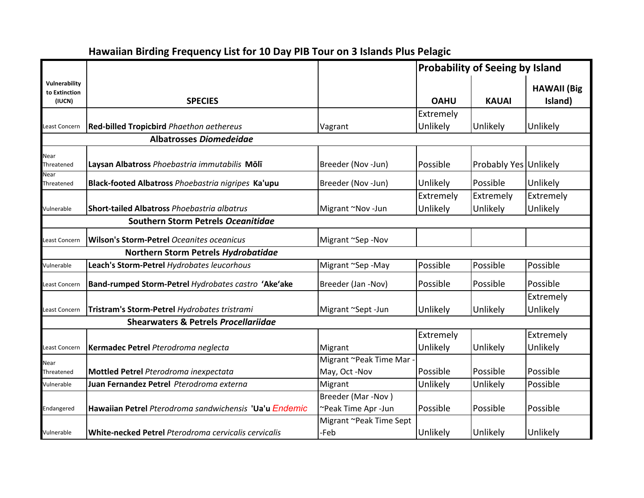|                                          |                                                             |                                 | <b>Probability of Seeing by Island</b> |                       |                               |
|------------------------------------------|-------------------------------------------------------------|---------------------------------|----------------------------------------|-----------------------|-------------------------------|
| Vulnerability<br>to Extinction<br>(IUCN) | <b>SPECIES</b>                                              |                                 | <b>OAHU</b>                            | <b>KAUAI</b>          | <b>HAWAII</b> (Big<br>Island) |
|                                          |                                                             |                                 | Extremely                              |                       |                               |
| Least Concern                            | <b>Red-billed Tropicbird Phaethon aethereus</b>             | Vagrant                         | Unlikely                               | Unlikely              | Unlikely                      |
|                                          | <b>Albatrosses Diomedeidae</b>                              |                                 |                                        |                       |                               |
| Near<br>Threatened                       | Laysan Albatross Phoebastria immutabilis Mōlī               | Breeder (Nov-Jun)               | Possible                               | Probably Yes Unlikely |                               |
| Near<br>Threatened                       | Black-footed Albatross Phoebastria nigripes Ka'upu          | Breeder (Nov -Jun)              | Unlikely                               | Possible              | Unlikely                      |
|                                          |                                                             |                                 | Extremely                              | Extremely             | Extremely                     |
| Vulnerable                               | <b>Short-tailed Albatross Phoebastria albatrus</b>          | Migrant ~Nov -Jun               | Unlikely                               | Unlikely              | Unlikely                      |
|                                          | Southern Storm Petrels Oceanitidae                          |                                 |                                        |                       |                               |
| Least Concern                            | <b>Wilson's Storm-Petrel Oceanites oceanicus</b>            | Migrant ~Sep -Nov               |                                        |                       |                               |
|                                          | Northern Storm Petrels Hydrobatidae                         |                                 |                                        |                       |                               |
| Vulnerable                               | Leach's Storm-Petrel Hydrobates leucorhous                  | Migrant ~Sep -May               | Possible                               | Possible              | Possible                      |
| east Concern                             | Band-rumped Storm-Petrel Hydrobates castro 'Ake'ake         | Breeder (Jan -Nov)              | Possible                               | Possible              | Possible                      |
| Least Concern                            | Tristram's Storm-Petrel Hydrobates tristrami                | Migrant ~Sept -Jun              | Unlikely                               | Unlikely              | Extremely<br>Unlikely         |
|                                          | <b>Shearwaters &amp; Petrels Procellariidae</b>             |                                 |                                        |                       |                               |
|                                          |                                                             |                                 | Extremely                              |                       | Extremely                     |
| Least Concern                            | Kermadec Petrel Pterodroma neglecta                         | Migrant                         | Unlikely                               | Unlikely              | Unlikely                      |
| Near                                     |                                                             | Migrant ~Peak Time Mar          |                                        |                       |                               |
| Threatened                               | Mottled Petrel Pterodroma inexpectata                       | May, Oct -Nov                   | Possible                               | Possible              | Possible                      |
| Vulnerable                               | Juan Fernandez Petrel Pterodroma externa                    | Migrant                         | Unlikely                               | Unlikely              | Possible                      |
|                                          |                                                             | Breeder (Mar-Nov)               |                                        |                       |                               |
| Endangered                               | Hawaiian Petrel Pterodroma sandwichensis 'Ua'u Endemic      | ~Peak Time Apr -Jun             | Possible                               | Possible              | Possible                      |
| Vulnerable                               | <b>White-necked Petrel</b> Pterodroma cervicalis cervicalis | Migrant ~Peak Time Sept<br>-Feb | Unlikely                               | Unlikely              | Unlikely                      |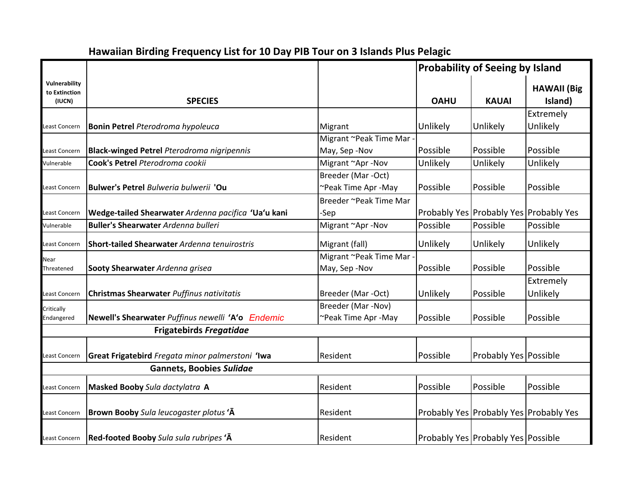|                                          |                                                     |                        | <b>Probability of Seeing by Island</b> |                                    |                                        |
|------------------------------------------|-----------------------------------------------------|------------------------|----------------------------------------|------------------------------------|----------------------------------------|
| Vulnerability<br>to Extinction<br>(IUCN) | <b>SPECIES</b>                                      |                        | <b>OAHU</b>                            | <b>KAUAI</b>                       | <b>HAWAII</b> (Big<br>Island)          |
|                                          |                                                     |                        |                                        |                                    | Extremely                              |
| Least Concern                            | <b>Bonin Petrel Pterodroma hypoleuca</b>            | Migrant                | Unlikely                               | Unlikely                           | Unlikely                               |
|                                          |                                                     | Migrant ~Peak Time Mar |                                        |                                    |                                        |
| Least Concern                            | <b>Black-winged Petrel Pterodroma nigripennis</b>   | May, Sep-Nov           | Possible                               | Possible                           | Possible                               |
| Vulnerable                               | Cook's Petrel Pterodroma cookii                     | Migrant ~Apr -Nov      | Unlikely                               | Unlikely                           | Unlikely                               |
|                                          |                                                     | Breeder (Mar -Oct)     |                                        |                                    |                                        |
| Least Concern                            | Bulwer's Petrel Bulweria bulwerii 'Ou               | ~Peak Time Apr -May    | Possible                               | Possible                           | Possible                               |
|                                          |                                                     | Breeder ~Peak Time Mar |                                        |                                    |                                        |
| east Concern                             | Wedge-tailed Shearwater Ardenna pacifica 'Ua'u kani | -Sep                   |                                        |                                    | Probably Yes Probably Yes Probably Yes |
| Vulnerable                               | <b>Buller's Shearwater Ardenna bulleri</b>          | Migrant ~Apr -Nov      | Possible                               | Possible                           | Possible                               |
| east Concern                             | Short-tailed Shearwater Ardenna tenuirostris        | Migrant (fall)         | Unlikely                               | Unlikely                           | Unlikely                               |
| Near                                     |                                                     | Migrant ~Peak Time Mar |                                        |                                    |                                        |
| Threatened                               | Sooty Shearwater Ardenna grisea                     | May, Sep-Nov           | Possible                               | Possible                           | Possible                               |
|                                          |                                                     |                        |                                        |                                    | Extremely                              |
| Least Concern                            | Christmas Shearwater Puffinus nativitatis           | Breeder (Mar -Oct)     | Unlikely                               | Possible                           | Unlikely                               |
| Critically                               |                                                     | Breeder (Mar-Nov)      |                                        |                                    |                                        |
| Endangered                               | Newell's Shearwater Puffinus newelli 'A'o Endemic   | ~Peak Time Apr -May    | Possible                               | Possible                           | Possible                               |
|                                          | <b>Frigatebirds Fregatidae</b>                      |                        |                                        |                                    |                                        |
|                                          |                                                     |                        |                                        |                                    |                                        |
| Least Concern                            | Great Frigatebird Fregata minor palmerstoni 'Iwa    | Resident               | Possible                               | <b>Probably Yes Possible</b>       |                                        |
|                                          | <b>Gannets, Boobies Sulidae</b>                     |                        |                                        |                                    |                                        |
| east Concern                             | Masked Booby Sula dactylatra A                      | Resident               | Possible                               | Possible                           | Possible                               |
| Least Concern                            | Brown Booby Sula leucogaster plotus 'A              | Resident               |                                        |                                    | Probably Yes Probably Yes Probably Yes |
| Least Concern                            | Red-footed Booby Sula sula rubripes 'A              | Resident               |                                        | Probably Yes Probably Yes Possible |                                        |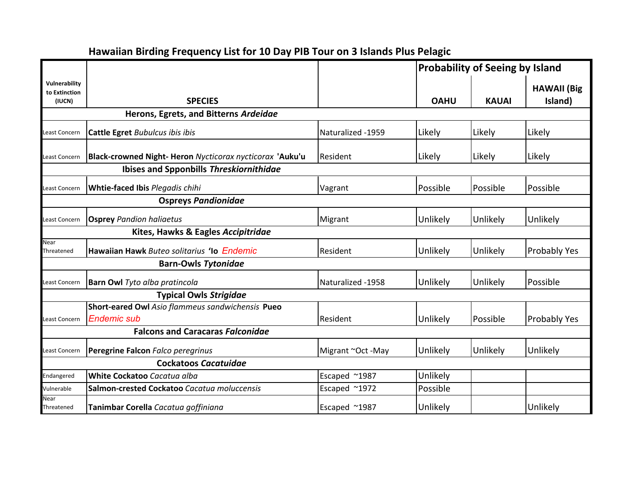### **Vulnerability to Extinction (IUCN) SPECIES OAHU KAUAI HAWAII (Big Island) Probability of Seeing by Island Herons, Egrets, and Bitterns** *Ardeidae* Least Concern **Cattle Egret** *Bubulcus ibis ibis* Naturalized -1959 Likely Likely Likely Least Concern **Black-crowned Night- Heron** *Nycticorax nycticorax* **'Auku'u** Resident Likely Likely Likely **Ibises and Spponbills** *Threskiornithidae* Least Concern **Whtie-faced Ibis** *Plegadis chihi* Vagrant Possible Possible Possible **Ospreys** *Pandionidae* east Concern **Osprey** Pandion haliaetus **Migrant Migrant Wigrant Unlikely Unlikely Unlikely** Unlikely **Kites, Hawks & Eagles** *Accipitridae* Near Threatened **Hawaiian Hawk** *Buteo solitarius* **ʻIo** *Endemic* Resident Unlikely Unlikely Probably Yes **Barn-Owls** *Tytonidae* Least Concern **Barn Owl** *Tyto alba pratincola* Naturalized -1958 Unlikely Unlikely Possible **Typical Owls** *Strigidae* east Concern **Endemic sub Short-eared Owl** *Asio flammeus sandwichensis* **Pueo Endemic sub** Resident **Resident (Unlikely Possible Probably Yes Falcons and Caracaras** *Falconidae* east Concern **Peregrine Falcon** *Falco peregrinus* Migrant ~Oct -May Unlikely Unlikely Unlikely Unlikely Unlikely **Cockatoos** *Cacatuidae* Endangered **White Cockatoo** *Cacatua alba* **Excaped ~1987** Unlikely Vulnerable **Salmon-crested Cockatoo** *Cacatua moluccensis* Escaped ~1972 Possible Near Threatened **Tanimbar Corella** *Cacatua goffiniana* Escaped ~1987 | Unlikely | Unlikely | Unlikely | Unlikely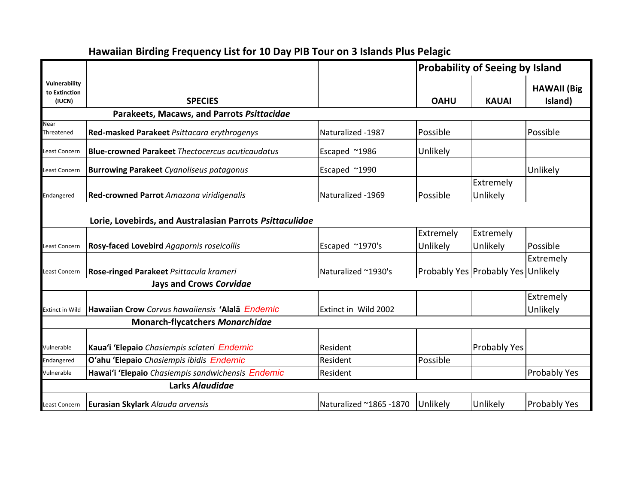#### **Hawaiian Birding Frequency List for 10 Day PIB Tour on 3 Islands Plus Pelagic Vulnerability to Extinction (IUCN) SPECIES OAHU KAUAI HAWAII (Big Island) Probability of Seeing by Island Parakeets, Macaws, and Parrots** *Psittacidae* Near Threatened **Red-masked Parakeet** *Psittacara erythrogenys* Naturalized -1987 | Possible | Possible | Possible Least Concern **Blue-crowned Parakeet** *Thectocercus acuticaudatus* Escaped ~1986 Unlikely Least Concern **Burrowing Parakeet** *Cyanoliseus patagonus* Escaped ~1990 Unlikely Endangered **Red-crowned Parrot** *Amazona viridigenalis* Naturalized -1969 Possible Extremely Unlikely **Lorie, Lovebirds, and Australasian Parrots** *Psittaculidae* Least Concern **Rosy-faced Lovebird** *Agapornis roseicollis* **Example 1970's** Escaped ~1970's Extremely Unlikely Unlikely Extremely Possible Least Concern **Rose-ringed Parakeet** *Psittacula krameri* Naturalized ~1930's Probably Probably Probably Probably Probably Probably Probably Probably Probably Probably Probably Probably Probably Probably Probably Probably Extremely Probably Yes Probably Yes Unlikely **Jays and Crows** *Corvidae* Extinct in Wild **Hawaiian Crow** *Corvus hawaiiensis* **ʻAlalā** *Endemic* Extinct in Wild 2002 Extremely Unlikely **Monarch-flycatchers** *Monarchidae* Vulnerable **Kauaʻi ʻElepaio** *Chasiempis sclateri Endemic* Resident Probably Yes Endangered **Oʻahu ʻElepaio** *Chasiempis ibidis Endemic* Resident Possible Vulnerable **Hawaiʻi ʻElepaio** *Chasiempis sandwichensis Endemic* Resident Probably Yes **Larks** *Alaudidae* Least Concern **Eurasian Skylark** *Alauda arvensis* Naturalized ~1865 -1870 Unlikely Unlikely Probably Yes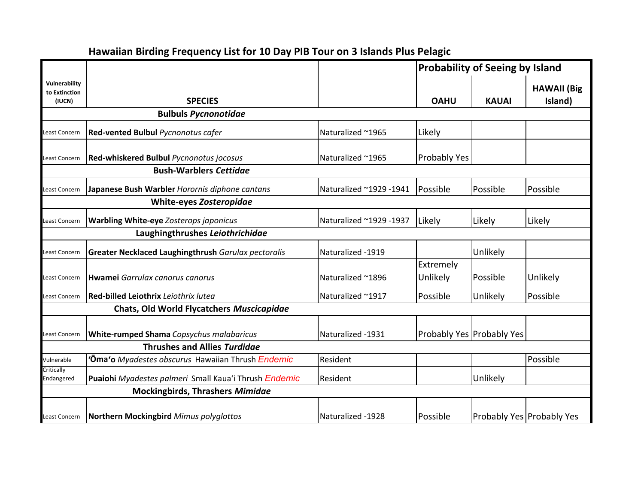|                                          |                                                           |                         | <b>Probability of Seeing by Island</b> |                           |                               |
|------------------------------------------|-----------------------------------------------------------|-------------------------|----------------------------------------|---------------------------|-------------------------------|
| Vulnerability<br>to Extinction<br>(IUCN) | <b>SPECIES</b>                                            |                         | <b>OAHU</b>                            | <b>KAUAI</b>              | <b>HAWAII</b> (Big<br>Island) |
|                                          | <b>Bulbuls Pycnonotidae</b>                               |                         |                                        |                           |                               |
| Least Concern                            | Red-vented Bulbul Pycnonotus cafer                        | Naturalized ~1965       | Likely                                 |                           |                               |
| Least Concern                            | <b>Red-whiskered Bulbul Pycnonotus jocosus</b>            | Naturalized ~1965       | <b>Probably Yes</b>                    |                           |                               |
|                                          | <b>Bush-Warblers Cettidae</b>                             |                         |                                        |                           |                               |
| Least Concern                            | Japanese Bush Warbler Horornis diphone cantans            | Naturalized ~1929 -1941 | Possible                               | Possible                  | Possible                      |
|                                          | <b>White-eyes Zosteropidae</b>                            |                         |                                        |                           |                               |
| Least Concern                            | <b>Warbling White-eye Zosterops japonicus</b>             | Naturalized ~1929 -1937 | Likely                                 | Likely                    | Likely                        |
|                                          | Laughingthrushes Leiothrichidae                           |                         |                                        |                           |                               |
| Least Concern                            | Greater Necklaced Laughingthrush Garulax pectoralis       | Naturalized -1919       |                                        | Unlikely                  |                               |
|                                          |                                                           |                         | Extremely                              |                           |                               |
| Least Concern                            | Hwamei Garrulax canorus canorus                           | Naturalized ~1896       | Unlikely                               | Possible                  | Unlikely                      |
| east Concern                             | <b>Red-billed Leiothrix</b> Leiothrix lutea               | Naturalized ~1917       | Possible                               | Unlikely                  | Possible                      |
|                                          | Chats, Old World Flycatchers Muscicapidae                 |                         |                                        |                           |                               |
| Least Concern                            | White-rumped Shama Copsychus malabaricus                  | Naturalized -1931       |                                        | Probably Yes Probably Yes |                               |
|                                          | <b>Thrushes and Allies Turdidge</b>                       |                         |                                        |                           |                               |
| Vulnerable                               | ' <b>Ōma'o</b> Myadestes obscurus Hawaiian Thrush Endemic | Resident                |                                        |                           | Possible                      |
| Critically<br>Endangered                 | Puaiohi Myadestes palmeri Small Kaua'i Thrush Endemic     | Resident                |                                        | Unlikely                  |                               |
|                                          | <b>Mockingbirds, Thrashers Mimidae</b>                    |                         |                                        |                           |                               |
| Least Concern                            | <b>Northern Mockingbird Mimus polyglottos</b>             | Naturalized -1928       | Possible                               |                           | Probably Yes Probably Yes     |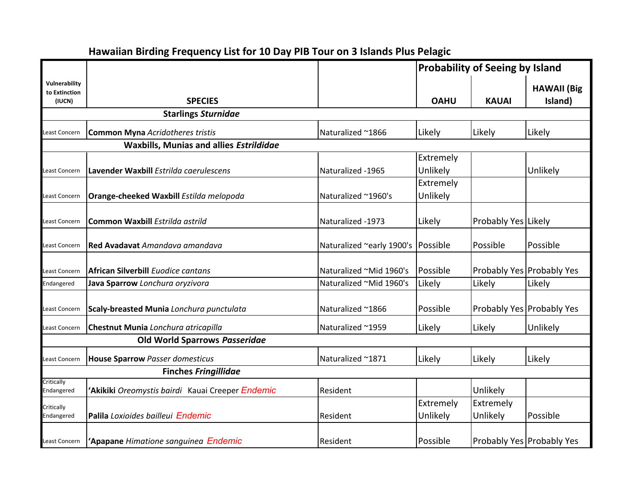|                                          |                                                 |                           | <b>Probability of Seeing by Island</b> |                       |                                  |
|------------------------------------------|-------------------------------------------------|---------------------------|----------------------------------------|-----------------------|----------------------------------|
| Vulnerability<br>to Extinction<br>(IUCN) | <b>SPECIES</b>                                  |                           | <b>OAHU</b>                            | <b>KAUAI</b>          | <b>HAWAII</b> (Big<br>Island)    |
|                                          | <b>Starlings Sturnidae</b>                      |                           |                                        |                       |                                  |
| east Concern                             | <b>Common Myna Acridotheres tristis</b>         | Naturalized ~1866         | Likely                                 | Likely                | Likely                           |
|                                          | <b>Waxbills, Munias and allies Estrildidae</b>  |                           |                                        |                       |                                  |
| Least Concern                            | Lavender Waxbill Estrilda caerulescens          | Naturalized -1965         | Extremely<br>Unlikely                  |                       | Unlikely                         |
| Least Concern                            | Orange-cheeked Waxbill Estilda melopoda         | Naturalized ~1960's       | Extremely<br>Unlikely                  |                       |                                  |
| Least Concern                            | Common Waxbill Estrilda astrild                 | Naturalized -1973         | Likely                                 | Probably Yes Likely   |                                  |
| Least Concern                            | Red Avadavat Amandava amandava                  | Naturalized ~early 1900's | Possible                               | Possible              | Possible                         |
| Least Concern                            | <b>African Silverbill Euodice cantans</b>       | Naturalized ~Mid 1960's   | Possible                               |                       | Probably Yes Probably Yes        |
| Endangered                               | Java Sparrow Lonchura oryzivora                 | Naturalized ~Mid 1960's   | Likely                                 | Likely                | Likely                           |
| east Concern                             | Scaly-breasted Munia Lonchura punctulata        | Naturalized ~1866         | Possible                               |                       | Probably Yes Probably Yes        |
| Least Concern                            | Chestnut Munia Lonchura atricapilla             | Naturalized ~1959         | Likely                                 | Likely                | Unlikely                         |
|                                          | Old World Sparrows Passeridae                   |                           |                                        |                       |                                  |
| Least Concern                            | <b>House Sparrow Passer domesticus</b>          | Naturalized ~1871         | Likely                                 | Likely                | Likely                           |
|                                          | <b>Finches Fringillidae</b>                     |                           |                                        |                       |                                  |
| Critically<br>Endangered                 | Akikiki Oreomystis bairdi Kauai Creeper Endemic | Resident                  |                                        | Unlikely              |                                  |
| Critically<br>Endangered                 | Palila Loxioides bailleui Endemic               | Resident                  | Extremely<br>Unlikely                  | Extremely<br>Unlikely | Possible                         |
| Least Concern                            | 'Apapane Himatione sanguinea Endemic            | Resident                  | Possible                               |                       | <b>Probably Yes Probably Yes</b> |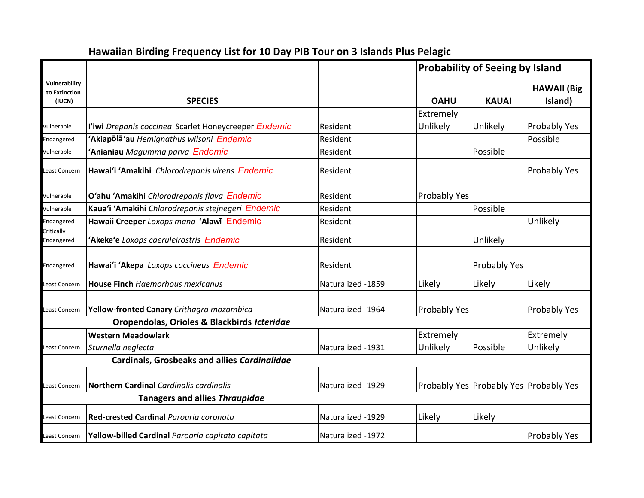|                                          |                                                      |                   |              | <b>Probability of Seeing by Island</b> |                                        |  |
|------------------------------------------|------------------------------------------------------|-------------------|--------------|----------------------------------------|----------------------------------------|--|
| Vulnerability<br>to Extinction<br>(IUCN) | <b>SPECIES</b>                                       |                   | <b>OAHU</b>  | <b>KAUAI</b>                           | <b>HAWAII</b> (Big<br>Island)          |  |
|                                          |                                                      |                   | Extremely    |                                        |                                        |  |
| Vulnerable                               | l'iwi Drepanis coccinea Scarlet Honeycreeper Endemic | <b>Resident</b>   | Unlikely     | Unlikely                               | Probably Yes                           |  |
| Endangered                               | Akiapola'au Hemignathus wilsoni Endemic              | Resident          |              |                                        | Possible                               |  |
| Vulnerable                               | Anianiau Magumma parva Endemic                       | Resident          |              | Possible                               |                                        |  |
| east Concern                             | Hawai'i 'Amakihi Chlorodrepanis virens Endemic       | Resident          |              |                                        | Probably Yes                           |  |
| Vulnerable                               | O'ahu 'Amakihi Chlorodrepanis flava Endemic          | Resident          | Probably Yes |                                        |                                        |  |
| Vulnerable                               | Kaua'i 'Amakihi Chlorodrepanis stejnegeri Endemic    | Resident          |              | Possible                               |                                        |  |
| Endangered                               | Hawaii Creeper Loxops mana 'Alawi Endemic            | Resident          |              |                                        | Unlikely                               |  |
| Critically<br>Endangered                 | 'Akeke'e Loxops caeruleirostris Endemic              | Resident          |              | Unlikely                               |                                        |  |
| Endangered                               | Hawai'i 'Akepa Loxops coccineus Endemic              | Resident          |              | Probably Yes                           |                                        |  |
| east Concern                             | <b>House Finch Haemorhous mexicanus</b>              | Naturalized -1859 | Likely       | Likely                                 | Likely                                 |  |
| Least Concern                            | Yellow-fronted Canary Crithagra mozambica            | Naturalized -1964 | Probably Yes |                                        | Probably Yes                           |  |
|                                          | Oropendolas, Orioles & Blackbirds Icteridae          |                   |              |                                        |                                        |  |
|                                          | <b>Western Meadowlark</b>                            |                   | Extremely    |                                        | Extremely                              |  |
| Least Concern                            | Sturnella neglecta                                   | Naturalized -1931 | Unlikely     | Possible                               | Unlikely                               |  |
|                                          | <b>Cardinals, Grosbeaks and allies Cardinalidae</b>  |                   |              |                                        |                                        |  |
| east Concern                             | <b>Northern Cardinal Cardinalis cardinalis</b>       | Naturalized -1929 |              |                                        | Probably Yes Probably Yes Probably Yes |  |
|                                          | <b>Tanagers and allies Thraupidae</b>                |                   |              |                                        |                                        |  |
| east Concern                             | Red-crested Cardinal Paroaria coronata               | Naturalized -1929 | Likely       | Likely                                 |                                        |  |
| Least Concern                            | Yellow-billed Cardinal Paroaria capitata capitata    | Naturalized -1972 |              |                                        | <b>Probably Yes</b>                    |  |